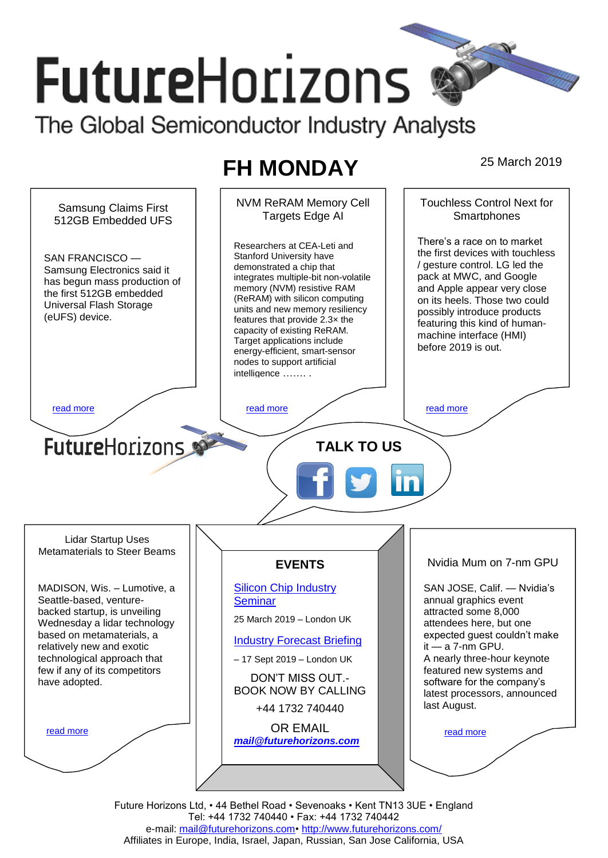# **FutureHorizons** The Global Semiconductor Industry Analysts

# **FH MONDAY** 25 March 2019

NVM ReRAM Memory Cell Touchless Control Next for Samsung Claims First Targets Edge AI **Smartphones** 512GB Embedded UFS There's a race on to market Researchers at CEA-Leti and the first devices with touchless Stanford University have SAN FRANCISCO — / gesture control. LG led the demonstrated a chip that Samsung Electronics said it pack at MWC, and Google integrates multiple-bit non-volatile has begun mass production of memory (NVM) resistive RAM and Apple appear very close the first 512GB embedded (ReRAM) with silicon computing on its heels. Those two could Universal Flash Storage units and new memory resiliency possibly introduce products (eUFS) device. features that provide 2.3× the featuring this kind of humancapacity of existing ReRAM. machine interface (HMI) Target applications include before 2019 is out. energy-efficient, smart-sensor nodes to support artificial intelligence ……. . [read more](#page-1-1) that the second contract the second contract of the read more that the read more that the read more **Future**Horizons **TALK TO US** Lidar Startup Uses Metamaterials to Steer Beams Nvidia Mum on 7-nm GPU **EVENTS** [Silicon Chip Industry](http://www.futurehorizons.com/page/12/silicon-chip-training)  SAN JOSE, Calif. — Nvidia's MADISON, Wis. – Lumotive, a Seattle-based, venture-**[Seminar](http://www.futurehorizons.com/page/12/silicon-chip-training)** annual graphics event backed startup, is unveiling attracted some 8,000 25 March 2019 – London UK Wednesday a lidar technology attendees here, but one based on metamaterials, a expected guest couldn't make [Industry Forecast Briefing](http://www.futurehorizons.com/page/13/Semiconductor-Market-Forecast-Seminar) it — a 7-nm GPU. relatively new and exotic technological approach that – 17 Sept 2019 – London UK A nearly three-hour keynote few if any of its competitors featured new systems and DON'T MISS OUT. have adopted.software for the company's BOOK NOW BY CALLING latest processors, announced last August. +44 1732 740440 OR EMAIL [read more](#page-1-3) [read more](#page-1-4) *[mail@futurehorizons.com](mailto:mail@futurehorizons.com)*

Future Horizons Ltd, • 44 Bethel Road • Sevenoaks • Kent TN13 3UE • England Tel: +44 1732 740440 • Fax: +44 1732 740442 e-mail: [mail@futurehorizons.com•](../FH%20Monday%20-%202017/mail@futurehorizons.com)<http://www.futurehorizons.com/> Affiliates in Europe, India, Israel, Japan, Russian, San Jose California, USA